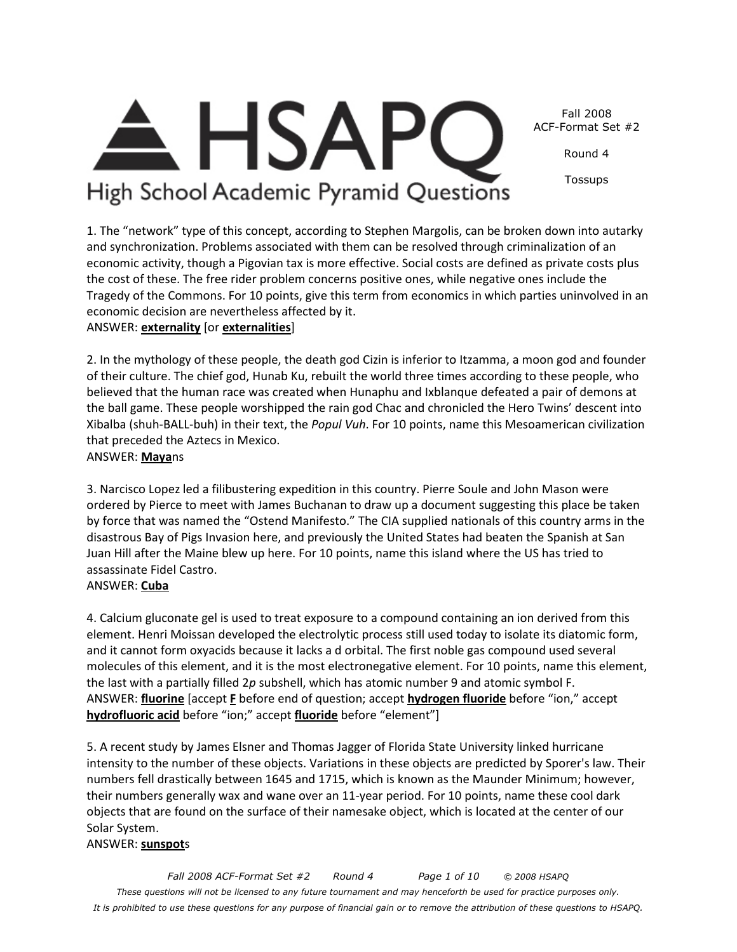*Fall 2008 ACF-Format Set #2 Round 4 Page 1 of 10 © 2008 HSAPQ These questions will not be licensed to any future tournament and may henceforth be used for practice purposes only. It is prohibited to use these questions for any purpose of financial gain or to remove the attribution of these questions to HSAPQ.* 

#### numbers fell drastically between 1645 and 1715, which is known as the Maunder Minimum; however,

4. Calcium gluconate gel is used to treat exposure to a compound containing an ion derived from this element. Henri Moissan developed the electrolytic process still used today to isolate its diatomic form, and it cannot form oxyacids because it lacks a d orbital. The first noble gas compound used several molecules of this element, and it is the most electronegative element. For 10 points, name this element, the last with a partially filled 2*p* subshell, which has atomic number 9 and atomic symbol F. ANSWER: **fluorine** [accept **F** before end of question; accept **hydrogen fluoride** before "ion," accept **hydrofluoric acid** before "ion;" accept **fluoride** before "element"]

intensity to the number of these objects. Variations in these objects are predicted by Sporer's law. Their

5. A recent study by James Elsner and Thomas Jagger of Florida State University linked hurricane

their numbers generally wax and wane over an 11-year period. For 10 points, name these cool dark objects that are found on the surface of their namesake object, which is located at the center of our

Xibalba (shuh-BALL-buh) in their text, the *Popul Vuh*. For 10 points, name this Mesoamerican civilization that preceded the Aztecs in Mexico. ANSWER: **Maya**ns 3. Narcisco Lopez led a filibustering expedition in this country. Pierre Soule and John Mason were ordered by Pierce to meet with James Buchanan to draw up a document suggesting this place be taken

by force that was named the "Ostend Manifesto." The CIA supplied nationals of this country arms in the disastrous Bay of Pigs Invasion here, and previously the United States had beaten the Spanish at San Juan Hill after the Maine blew up here. For 10 points, name this island where the US has tried to

2. In the mythology of these people, the death god Cizin is inferior to Itzamma, a moon god and founder of their culture. The chief god, Hunab Ku, rebuilt the world three times according to these people, who believed that the human race was created when Hunaphu and Ixblanque defeated a pair of demons at the ball game. These people worshipped the rain god Chac and chronicled the Hero Twins' descent into

1. The "network" type of this concept, according to Stephen Margolis, can be broken down into autarky and synchronization. Problems associated with them can be resolved through criminalization of an economic activity, though a Pigovian tax is more effective. Social costs are defined as private costs plus the cost of these. The free rider problem concerns positive ones, while negative ones include the

Tragedy of the Commons. For 10 points, give this term from economics in which parties uninvolved in an

#### economic decision are nevertheless affected by it. ANSWER: **externality** [or **externalities**]

assassinate Fidel Castro.

ANSWER: **Cuba**

Solar System. ANSWER: **sunspot**s

Fall 2008 ACF-Format Set #2

Round 4

Tossups

**HSAP** High School Academic Pyramid Questions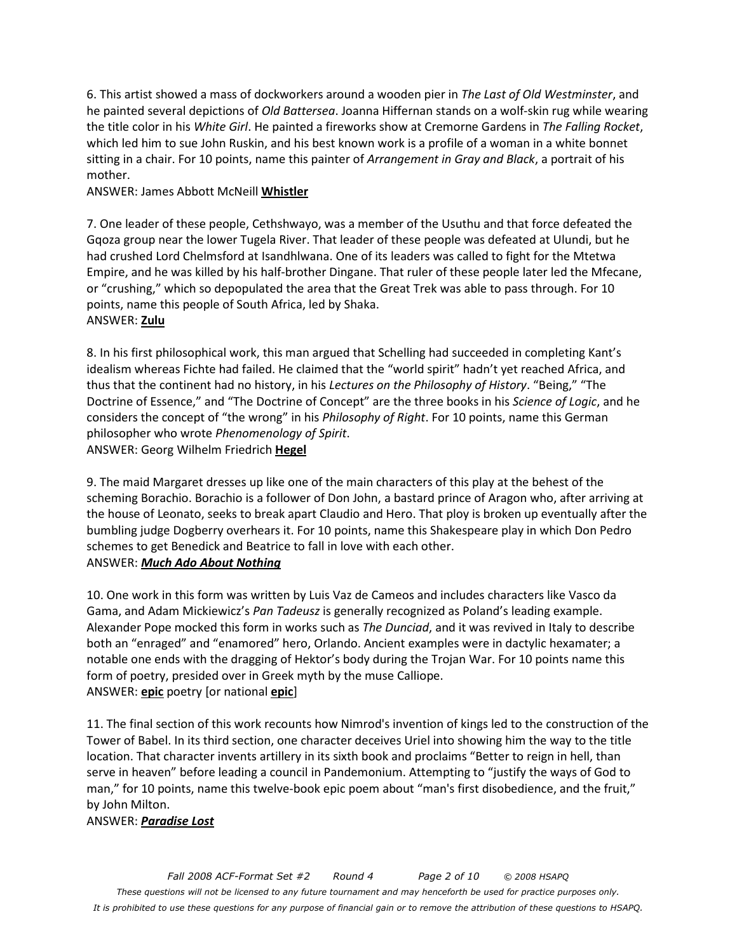6. This artist showed a mass of dockworkers around a wooden pier in *The Last of Old Westminster*, and he painted several depictions of *Old Battersea*. Joanna Hiffernan stands on a wolf-skin rug while wearing the title color in his *White Girl*. He painted a fireworks show at Cremorne Gardens in *The Falling Rocket*, which led him to sue John Ruskin, and his best known work is a profile of a woman in a white bonnet sitting in a chair. For 10 points, name this painter of *Arrangement in Gray and Black*, a portrait of his mother.

#### ANSWER: James Abbott McNeill **Whistler**

7. One leader of these people, Cethshwayo, was a member of the Usuthu and that force defeated the Gqoza group near the lower Tugela River. That leader of these people was defeated at Ulundi, but he had crushed Lord Chelmsford at Isandhlwana. One of its leaders was called to fight for the Mtetwa Empire, and he was killed by his half-brother Dingane. That ruler of these people later led the Mfecane, or "crushing," which so depopulated the area that the Great Trek was able to pass through. For 10 points, name this people of South Africa, led by Shaka. ANSWER: **Zulu**

8. In his first philosophical work, this man argued that Schelling had succeeded in completing Kant's idealism whereas Fichte had failed. He claimed that the "world spirit" hadn't yet reached Africa, and thus that the continent had no history, in his *Lectures on the Philosophy of History*. "Being," "The Doctrine of Essence," and "The Doctrine of Concept" are the three books in his *Science of Logic*, and he considers the concept of "the wrong" in his *Philosophy of Right*. For 10 points, name this German philosopher who wrote *Phenomenology of Spirit*. ANSWER: Georg Wilhelm Friedrich **Hegel**

9. The maid Margaret dresses up like one of the main characters of this play at the behest of the scheming Borachio. Borachio is a follower of Don John, a bastard prince of Aragon who, after arriving at the house of Leonato, seeks to break apart Claudio and Hero. That ploy is broken up eventually after the bumbling judge Dogberry overhears it. For 10 points, name this Shakespeare play in which Don Pedro schemes to get Benedick and Beatrice to fall in love with each other. ANSWER: *Much Ado About Nothing*

10. One work in this form was written by Luis Vaz de Cameos and includes characters like Vasco da Gama, and Adam Mickiewicz's *Pan Tadeusz* is generally recognized as Poland's leading example. Alexander Pope mocked this form in works such as *The Dunciad*, and it was revived in Italy to describe both an "enraged" and "enamored" hero, Orlando. Ancient examples were in dactylic hexamater; a notable one ends with the dragging of Hektor's body during the Trojan War. For 10 points name this form of poetry, presided over in Greek myth by the muse Calliope. ANSWER: **epic** poetry [or national **epic**]

11. The final section of this work recounts how Nimrod's invention of kings led to the construction of the Tower of Babel. In its third section, one character deceives Uriel into showing him the way to the title location. That character invents artillery in its sixth book and proclaims "Better to reign in hell, than serve in heaven" before leading a council in Pandemonium. Attempting to "justify the ways of God to man," for 10 points, name this twelve-book epic poem about "man's first disobedience, and the fruit," by John Milton.

## ANSWER: *Paradise Lost*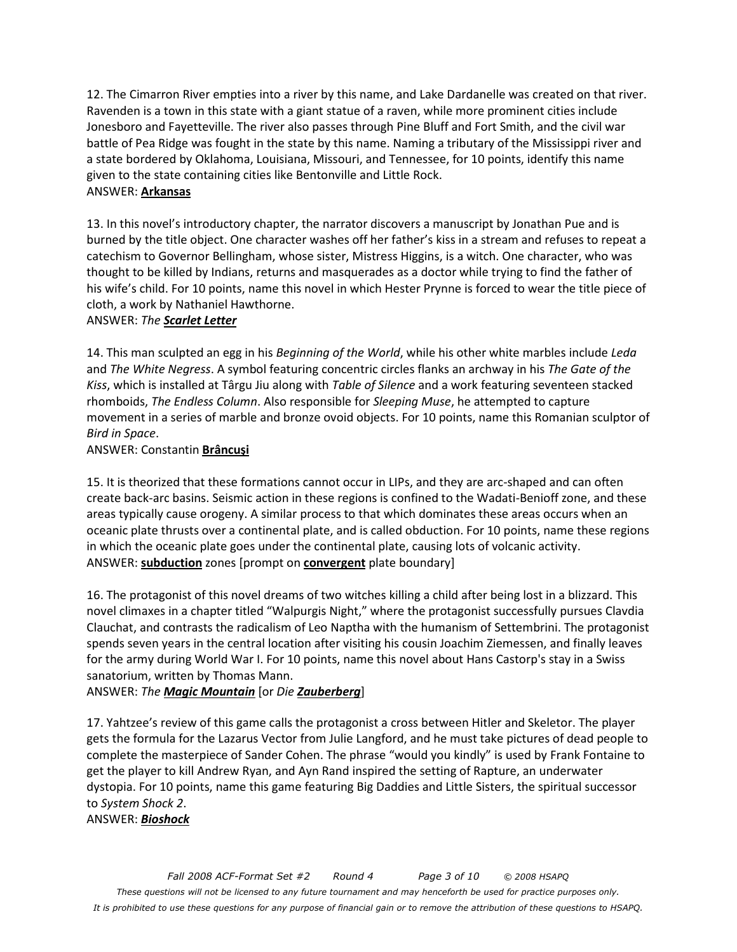12. The Cimarron River empties into a river by this name, and Lake Dardanelle was created on that river. Ravenden is a town in this state with a giant statue of a raven, while more prominent cities include Jonesboro and Fayetteville. The river also passes through Pine Bluff and Fort Smith, and the civil war battle of Pea Ridge was fought in the state by this name. Naming a tributary of the Mississippi river and a state bordered by Oklahoma, Louisiana, Missouri, and Tennessee, for 10 points, identify this name given to the state containing cities like Bentonville and Little Rock. ANSWER: **Arkansas**

13. In this novel's introductory chapter, the narrator discovers a manuscript by Jonathan Pue and is burned by the title object. One character washes off her father's kiss in a stream and refuses to repeat a catechism to Governor Bellingham, whose sister, Mistress Higgins, is a witch. One character, who was thought to be killed by Indians, returns and masquerades as a doctor while trying to find the father of his wife's child. For 10 points, name this novel in which Hester Prynne is forced to wear the title piece of cloth, a work by Nathaniel Hawthorne.

#### ANSWER: *The Scarlet Letter*

14. This man sculpted an egg in his *Beginning of the World*, while his other white marbles include *Leda* and *The White Negress*. A symbol featuring concentric circles flanks an archway in his *The Gate of the Kiss*, which is installed at Târgu Jiu along with *Table of Silence* and a work featuring seventeen stacked rhomboids, *The Endless Column*. Also responsible for *Sleeping Muse*, he attempted to capture movement in a series of marble and bronze ovoid objects. For 10 points, name this Romanian sculptor of *Bird in Space*.

#### ANSWER: Constantin **Brâncuşi**

15. It is theorized that these formations cannot occur in LIPs, and they are arc-shaped and can often create back-arc basins. Seismic action in these regions is confined to the Wadati-Benioff zone, and these areas typically cause orogeny. A similar process to that which dominates these areas occurs when an oceanic plate thrusts over a continental plate, and is called obduction. For 10 points, name these regions in which the oceanic plate goes under the continental plate, causing lots of volcanic activity. ANSWER: **subduction** zones [prompt on **convergent** plate boundary]

16. The protagonist of this novel dreams of two witches killing a child after being lost in a blizzard. This novel climaxes in a chapter titled "Walpurgis Night," where the protagonist successfully pursues Clavdia Clauchat, and contrasts the radicalism of Leo Naptha with the humanism of Settembrini. The protagonist spends seven years in the central location after visiting his cousin Joachim Ziemessen, and finally leaves for the army during World War I. For 10 points, name this novel about Hans Castorp's stay in a Swiss sanatorium, written by Thomas Mann.

## ANSWER: *The Magic Mountain* [or *Die Zauberberg*]

17. Yahtzee's review of this game calls the protagonist a cross between Hitler and Skeletor. The player gets the formula for the Lazarus Vector from Julie Langford, and he must take pictures of dead people to complete the masterpiece of Sander Cohen. The phrase "would you kindly" is used by Frank Fontaine to get the player to kill Andrew Ryan, and Ayn Rand inspired the setting of Rapture, an underwater dystopia. For 10 points, name this game featuring Big Daddies and Little Sisters, the spiritual successor to *System Shock 2*.

ANSWER: *Bioshock*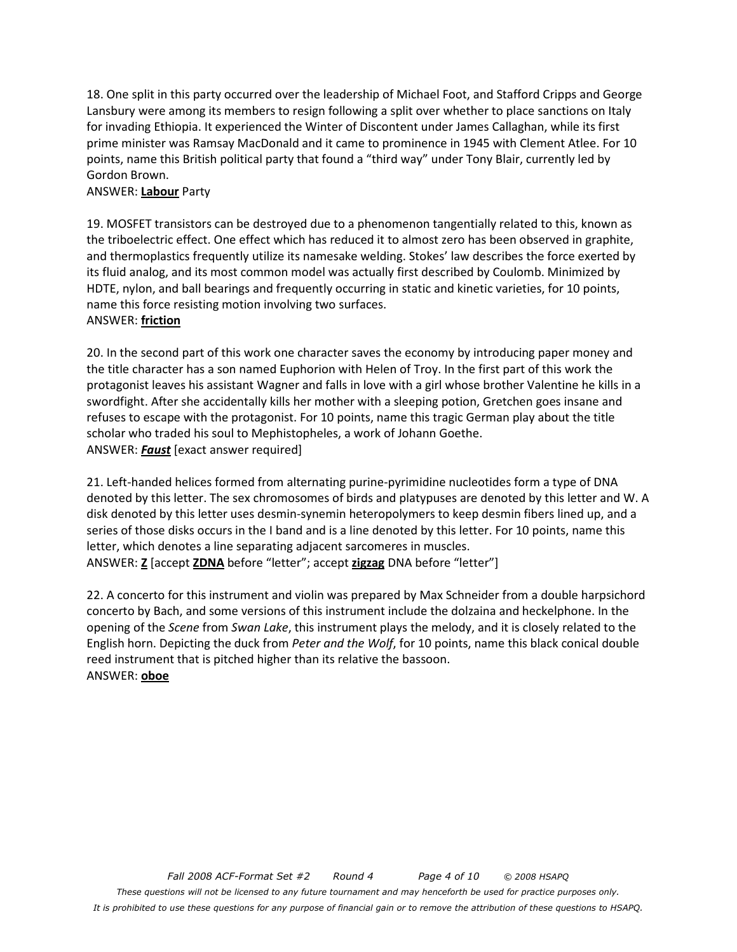18. One split in this party occurred over the leadership of Michael Foot, and Stafford Cripps and George Lansbury were among its members to resign following a split over whether to place sanctions on Italy for invading Ethiopia. It experienced the Winter of Discontent under James Callaghan, while its first prime minister was Ramsay MacDonald and it came to prominence in 1945 with Clement Atlee. For 10 points, name this British political party that found a "third way" under Tony Blair, currently led by Gordon Brown.

#### ANSWER: **Labour** Party

19. MOSFET transistors can be destroyed due to a phenomenon tangentially related to this, known as the triboelectric effect. One effect which has reduced it to almost zero has been observed in graphite, and thermoplastics frequently utilize its namesake welding. Stokes' law describes the force exerted by its fluid analog, and its most common model was actually first described by Coulomb. Minimized by HDTE, nylon, and ball bearings and frequently occurring in static and kinetic varieties, for 10 points, name this force resisting motion involving two surfaces. ANSWER: **friction**

20. In the second part of this work one character saves the economy by introducing paper money and the title character has a son named Euphorion with Helen of Troy. In the first part of this work the protagonist leaves his assistant Wagner and falls in love with a girl whose brother Valentine he kills in a swordfight. After she accidentally kills her mother with a sleeping potion, Gretchen goes insane and refuses to escape with the protagonist. For 10 points, name this tragic German play about the title scholar who traded his soul to Mephistopheles, a work of Johann Goethe. ANSWER: *Faust* [exact answer required]

21. Left-handed helices formed from alternating purine-pyrimidine nucleotides form a type of DNA denoted by this letter. The sex chromosomes of birds and platypuses are denoted by this letter and W. A disk denoted by this letter uses desmin-synemin heteropolymers to keep desmin fibers lined up, and a series of those disks occurs in the I band and is a line denoted by this letter. For 10 points, name this letter, which denotes a line separating adjacent sarcomeres in muscles. ANSWER: **Z** [accept **ZDNA** before "letter"; accept **zigzag** DNA before "letter"]

22. A concerto for this instrument and violin was prepared by Max Schneider from a double harpsichord concerto by Bach, and some versions of this instrument include the dolzaina and heckelphone. In the opening of the *Scene* from *Swan Lake*, this instrument plays the melody, and it is closely related to the English horn. Depicting the duck from *Peter and the Wolf*, for 10 points, name this black conical double reed instrument that is pitched higher than its relative the bassoon. ANSWER: **oboe**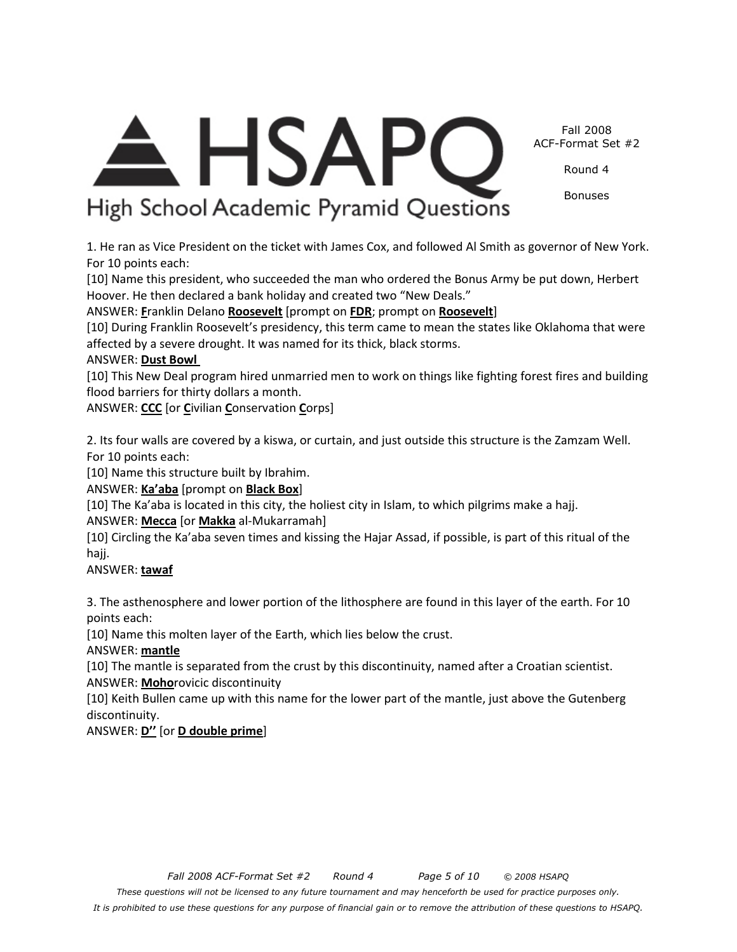Fall 2008 ACF-Format Set #2 Round 4

High School Academic Pyramid Questions

1. He ran as Vice President on the ticket with James Cox, and followed Al Smith as governor of New York. For 10 points each:

[10] Name this president, who succeeded the man who ordered the Bonus Army be put down, Herbert Hoover. He then declared a bank holiday and created two "New Deals."

ANSWER: **F**ranklin Delano **Roosevelt** [prompt on **FDR**; prompt on **Roosevelt**]

[10] During Franklin Roosevelt's presidency, this term came to mean the states like Oklahoma that were affected by a severe drought. It was named for its thick, black storms.

## ANSWER: **Dust Bowl**

[10] This New Deal program hired unmarried men to work on things like fighting forest fires and building flood barriers for thirty dollars a month.

ANSWER: **CCC** [or **C**ivilian **C**onservation **C**orps]

2. Its four walls are covered by a kiswa, or curtain, and just outside this structure is the Zamzam Well. For 10 points each:

[10] Name this structure built by Ibrahim.

ANSWER: **Ka'aba** [prompt on **Black Box**]

[10] The Ka'aba is located in this city, the holiest city in Islam, to which pilgrims make a hajj.

ANSWER: **Mecca** [or **Makka** al-Mukarramah]

[10] Circling the Ka'aba seven times and kissing the Hajar Assad, if possible, is part of this ritual of the hajj.

ANSWER: **tawaf**

3. The asthenosphere and lower portion of the lithosphere are found in this layer of the earth. For 10 points each:

[10] Name this molten layer of the Earth, which lies below the crust.

ANSWER: **mantle**

[10] The mantle is separated from the crust by this discontinuity, named after a Croatian scientist. ANSWER: **Moho**rovicic discontinuity

[10] Keith Bullen came up with this name for the lower part of the mantle, just above the Gutenberg discontinuity.

ANSWER: **D''** [or **D double prime**]



Bonuses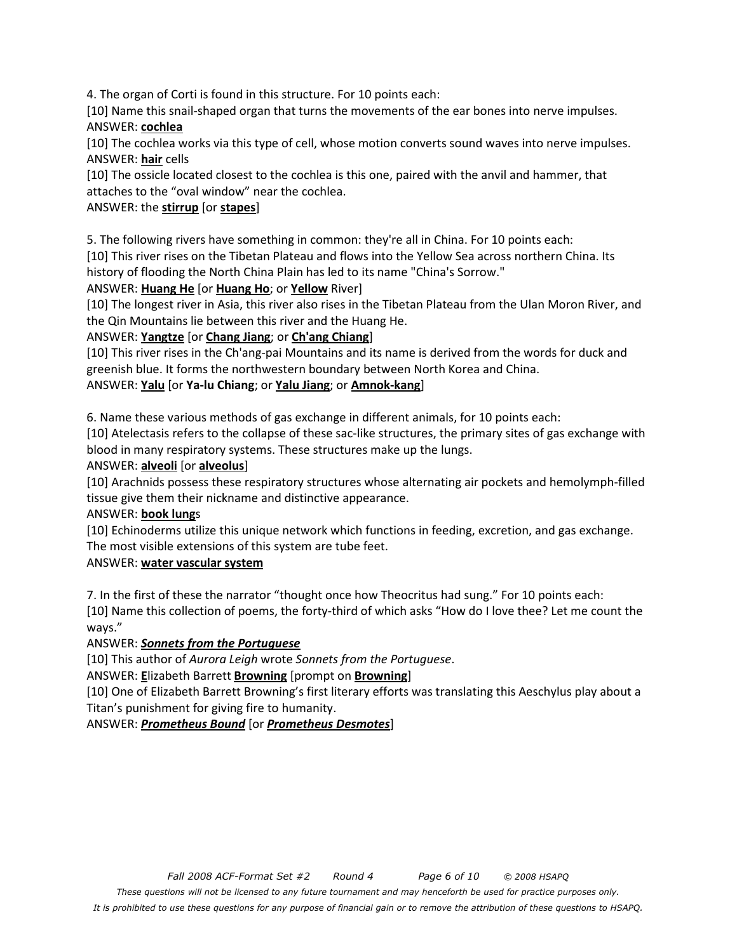4. The organ of Corti is found in this structure. For 10 points each:

[10] Name this snail-shaped organ that turns the movements of the ear bones into nerve impulses.

ANSWER: **cochlea**

[10] The cochlea works via this type of cell, whose motion converts sound waves into nerve impulses. ANSWER: **hair** cells

[10] The ossicle located closest to the cochlea is this one, paired with the anvil and hammer, that attaches to the "oval window" near the cochlea.

## ANSWER: the **stirrup** [or **stapes**]

5. The following rivers have something in common: they're all in China. For 10 points each:

[10] This river rises on the Tibetan Plateau and flows into the Yellow Sea across northern China. Its history of flooding the North China Plain has led to its name "China's Sorrow."

## ANSWER: **Huang He** [or **Huang Ho**; or **Yellow** River]

[10] The longest river in Asia, this river also rises in the Tibetan Plateau from the Ulan Moron River, and the Qin Mountains lie between this river and the Huang He.

## ANSWER: **Yangtze** [or **Chang Jiang**; or **Ch'ang Chiang**]

[10] This river rises in the Ch'ang-pai Mountains and its name is derived from the words for duck and greenish blue. It forms the northwestern boundary between North Korea and China.

ANSWER: **Yalu** [or **Ya-lu Chiang**; or **Yalu Jiang**; or **Amnok-kang**]

6. Name these various methods of gas exchange in different animals, for 10 points each:

[10] Atelectasis refers to the collapse of these sac-like structures, the primary sites of gas exchange with blood in many respiratory systems. These structures make up the lungs.

## ANSWER: **alveoli** [or **alveolus**]

[10] Arachnids possess these respiratory structures whose alternating air pockets and hemolymph-filled tissue give them their nickname and distinctive appearance.

## ANSWER: **book lung**s

[10] Echinoderms utilize this unique network which functions in feeding, excretion, and gas exchange. The most visible extensions of this system are tube feet.

## ANSWER: **water vascular system**

7. In the first of these the narrator "thought once how Theocritus had sung." For 10 points each:

[10] Name this collection of poems, the forty-third of which asks "How do I love thee? Let me count the ways."

## ANSWER: *Sonnets from the Portuguese*

[10] This author of *Aurora Leigh* wrote *Sonnets from the Portuguese*.

ANSWER: **E**lizabeth Barrett **Browning** [prompt on **Browning**]

[10] One of Elizabeth Barrett Browning's first literary efforts was translating this Aeschylus play about a Titan's punishment for giving fire to humanity.

## ANSWER: *Prometheus Bound* [or *Prometheus Desmotes*]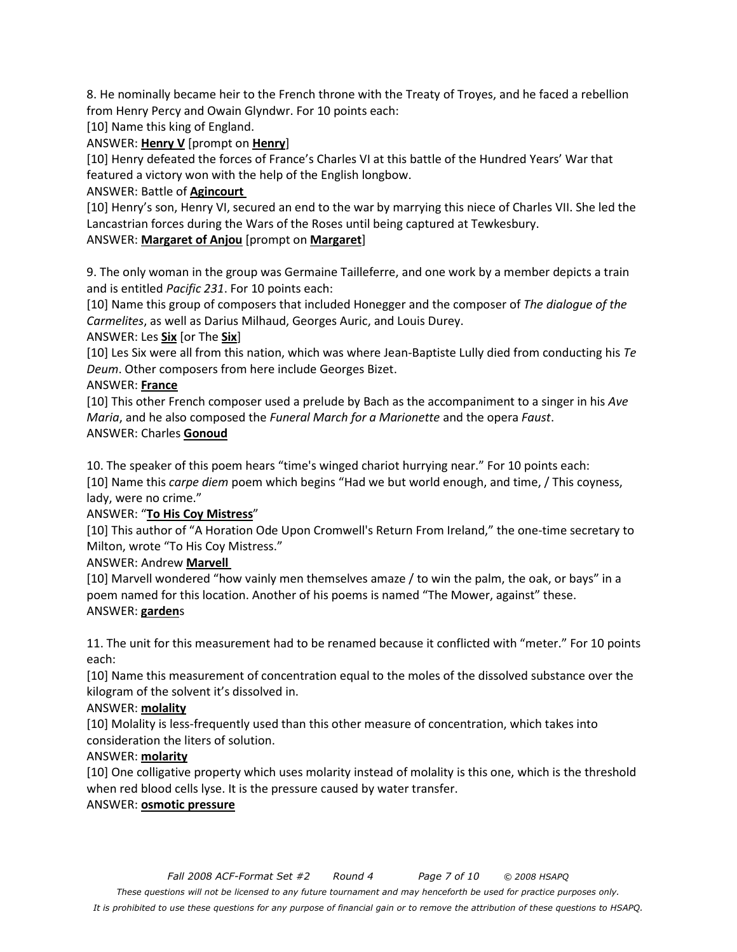8. He nominally became heir to the French throne with the Treaty of Troyes, and he faced a rebellion from Henry Percy and Owain Glyndwr. For 10 points each:

[10] Name this king of England.

ANSWER: **Henry V** [prompt on **Henry**]

[10] Henry defeated the forces of France's Charles VI at this battle of the Hundred Years' War that featured a victory won with the help of the English longbow.

#### ANSWER: Battle of **Agincourt**

[10] Henry's son, Henry VI, secured an end to the war by marrying this niece of Charles VII. She led the Lancastrian forces during the Wars of the Roses until being captured at Tewkesbury.

#### ANSWER: **Margaret of Anjou** [prompt on **Margaret**]

9. The only woman in the group was Germaine Tailleferre, and one work by a member depicts a train and is entitled *Pacific 231*. For 10 points each:

[10] Name this group of composers that included Honegger and the composer of *The dialogue of the Carmelites*, as well as Darius Milhaud, Georges Auric, and Louis Durey.

ANSWER: Les **Six** [or The **Six**]

[10] Les Six were all from this nation, which was where Jean-Baptiste Lully died from conducting his *Te Deum*. Other composers from here include Georges Bizet.

#### ANSWER: **France**

[10] This other French composer used a prelude by Bach as the accompaniment to a singer in his *Ave Maria*, and he also composed the *Funeral March for a Marionette* and the opera *Faust*. ANSWER: Charles **Gonoud**

10. The speaker of this poem hears "time's winged chariot hurrying near." For 10 points each: [10] Name this *carpe diem* poem which begins "Had we but world enough, and time, / This coyness, lady, were no crime."

## ANSWER: "**To His Coy Mistress**"

[10] This author of "A Horation Ode Upon Cromwell's Return From Ireland," the one-time secretary to Milton, wrote "To His Coy Mistress."

#### ANSWER: Andrew **Marvell**

[10] Marvell wondered "how vainly men themselves amaze / to win the palm, the oak, or bays" in a poem named for this location. Another of his poems is named "The Mower, against" these. ANSWER: **garden**s

11. The unit for this measurement had to be renamed because it conflicted with "meter." For 10 points each:

[10] Name this measurement of concentration equal to the moles of the dissolved substance over the kilogram of the solvent it's dissolved in.

## ANSWER: **molality**

[10] Molality is less-frequently used than this other measure of concentration, which takes into consideration the liters of solution.

#### ANSWER: **molarity**

[10] One colligative property which uses molarity instead of molality is this one, which is the threshold when red blood cells lyse. It is the pressure caused by water transfer.

## ANSWER: **osmotic pressure**

*It is prohibited to use these questions for any purpose of financial gain or to remove the attribution of these questions to HSAPQ.*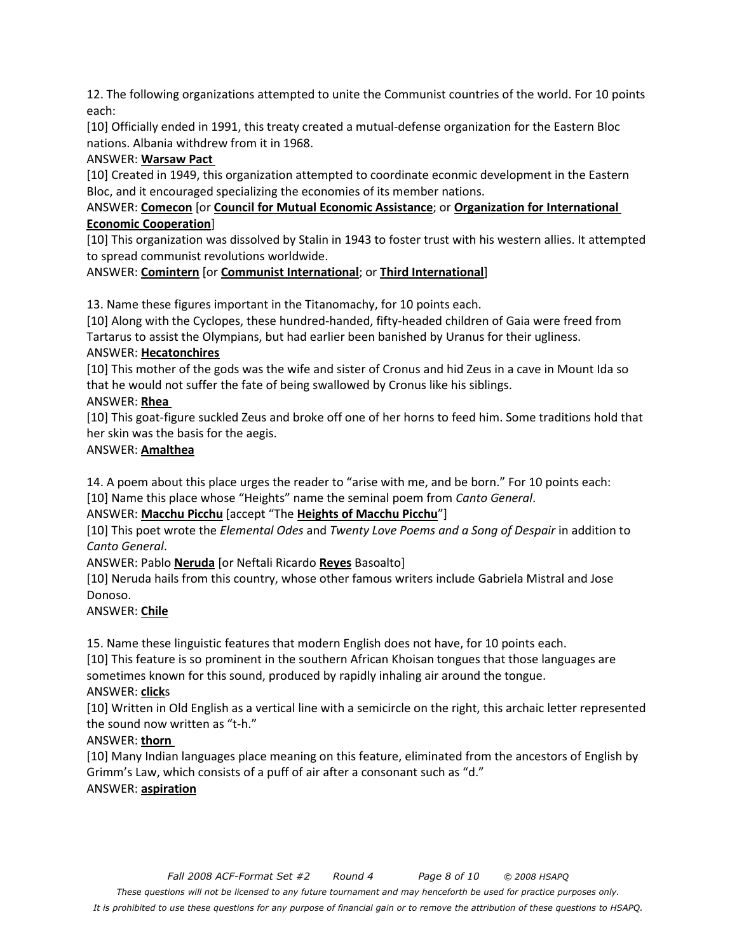12. The following organizations attempted to unite the Communist countries of the world. For 10 points each:

[10] Officially ended in 1991, this treaty created a mutual-defense organization for the Eastern Bloc nations. Albania withdrew from it in 1968.

## ANSWER: **Warsaw Pact**

[10] Created in 1949, this organization attempted to coordinate econmic development in the Eastern Bloc, and it encouraged specializing the economies of its member nations.

## ANSWER: **Comecon** [or **Council for Mutual Economic Assistance**; or **Organization for International Economic Cooperation**]

[10] This organization was dissolved by Stalin in 1943 to foster trust with his western allies. It attempted to spread communist revolutions worldwide.

## ANSWER: **Comintern** [or **Communist International**; or **Third International**]

13. Name these figures important in the Titanomachy, for 10 points each.

[10] Along with the Cyclopes, these hundred-handed, fifty-headed children of Gaia were freed from Tartarus to assist the Olympians, but had earlier been banished by Uranus for their ugliness.

## ANSWER: **Hecatonchires**

[10] This mother of the gods was the wife and sister of Cronus and hid Zeus in a cave in Mount Ida so that he would not suffer the fate of being swallowed by Cronus like his siblings.

## ANSWER: **Rhea**

[10] This goat-figure suckled Zeus and broke off one of her horns to feed him. Some traditions hold that her skin was the basis for the aegis.

## ANSWER: **Amalthea**

14. A poem about this place urges the reader to "arise with me, and be born." For 10 points each:

## [10] Name this place whose "Heights" name the seminal poem from *Canto General*.

## ANSWER: **Macchu Picchu** [accept "The **Heights of Macchu Picchu**"]

[10] This poet wrote the *Elemental Odes* and *Twenty Love Poems and a Song of Despair* in addition to *Canto General*.

ANSWER: Pablo **Neruda** [or Neftali Ricardo **Reyes** Basoalto]

[10] Neruda hails from this country, whose other famous writers include Gabriela Mistral and Jose Donoso.

## ANSWER: **Chile**

15. Name these linguistic features that modern English does not have, for 10 points each.

[10] This feature is so prominent in the southern African Khoisan tongues that those languages are sometimes known for this sound, produced by rapidly inhaling air around the tongue.

# ANSWER: **click**s

[10] Written in Old English as a vertical line with a semicircle on the right, this archaic letter represented the sound now written as "t-h."

## ANSWER: **thorn**

[10] Many Indian languages place meaning on this feature, eliminated from the ancestors of English by Grimm's Law, which consists of a puff of air after a consonant such as "d."

## ANSWER: **aspiration**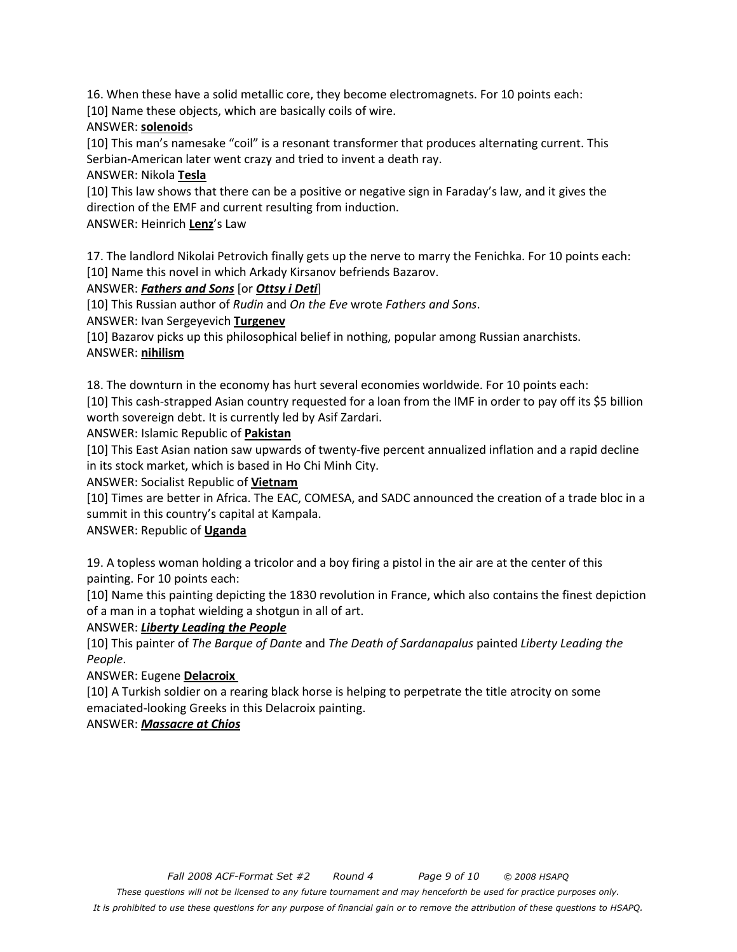16. When these have a solid metallic core, they become electromagnets. For 10 points each: [10] Name these objects, which are basically coils of wire.

## ANSWER: **solenoid**s

[10] This man's namesake "coil" is a resonant transformer that produces alternating current. This Serbian-American later went crazy and tried to invent a death ray.

## ANSWER: Nikola **Tesla**

[10] This law shows that there can be a positive or negative sign in Faraday's law, and it gives the direction of the EMF and current resulting from induction.

## ANSWER: Heinrich **Lenz**'s Law

17. The landlord Nikolai Petrovich finally gets up the nerve to marry the Fenichka. For 10 points each: [10] Name this novel in which Arkady Kirsanov befriends Bazarov.

## ANSWER: *Fathers and Sons* [or *Ottsy i Deti*]

[10] This Russian author of *Rudin* and *On the Eve* wrote *Fathers and Sons*.

ANSWER: Ivan Sergeyevich **Turgenev**

[10] Bazarov picks up this philosophical belief in nothing, popular among Russian anarchists.

## ANSWER: **nihilism**

18. The downturn in the economy has hurt several economies worldwide. For 10 points each: [10] This cash-strapped Asian country requested for a loan from the IMF in order to pay off its \$5 billion worth sovereign debt. It is currently led by Asif Zardari.

## ANSWER: Islamic Republic of **Pakistan**

[10] This East Asian nation saw upwards of twenty-five percent annualized inflation and a rapid decline in its stock market, which is based in Ho Chi Minh City.

## ANSWER: Socialist Republic of **Vietnam**

[10] Times are better in Africa. The EAC, COMESA, and SADC announced the creation of a trade bloc in a summit in this country's capital at Kampala.

## ANSWER: Republic of **Uganda**

19. A topless woman holding a tricolor and a boy firing a pistol in the air are at the center of this painting. For 10 points each:

[10] Name this painting depicting the 1830 revolution in France, which also contains the finest depiction of a man in a tophat wielding a shotgun in all of art.

## ANSWER: *Liberty Leading the People*

[10] This painter of *The Barque of Dante* and *The Death of Sardanapalus* painted *Liberty Leading the People*.

## ANSWER: Eugene **Delacroix**

[10] A Turkish soldier on a rearing black horse is helping to perpetrate the title atrocity on some emaciated-looking Greeks in this Delacroix painting.

## ANSWER: *Massacre at Chios*

*It is prohibited to use these questions for any purpose of financial gain or to remove the attribution of these questions to HSAPQ.*